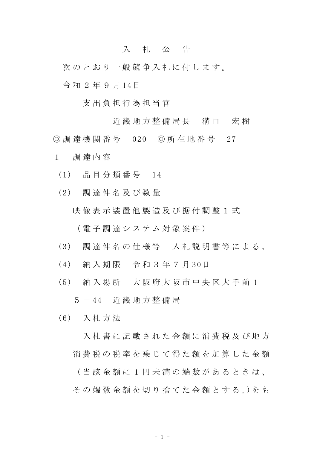## 入 札 公 告

次のとおり一般競争入札に付します。

令 和 2 年 9 月 14日

支 出 負 担 行 為 担 当 官

近 畿 地 方 整 備 局 長 清 口 宏 樹

◎ 調 達 機 関 番 号 020 ◎ 所 在 地 番 号 27

- 1 調 達 内 容
	- (1) 品 目 分 類 番 号 14
	- (2) 調 達 件 名 及 び 数 量 映 像 表 示 装 置 他 製 造 及 び 据 付 調 整 1 式 ( 電 子 調 達 シ ス テ ム 対 象 案 件 )
	- (3) 調 達 件 名 の 仕 様 等 入 札 説 明 書 等 に よ る 。
	- (4) 納 入 期 限 令 和 3 年 7 月 30日
	- (5) 納入場所 大阪府大阪市中央区大手前1-

5 - 44 近 畿 地 方 整 備 局

(6) 入 札 方 法

入札 書 に 記 載 さ れ た 金 額 に 消 費 税 及 び 地 方 消 費 税 の 税 率 を 乗 じ て 得 た 額 を 加 算 し た 金 額 ( 当 該 金 額 に 1 円 未 満 の 端 数 が あ る と き は 、 その端数金額を切り捨てた金額とする。)をも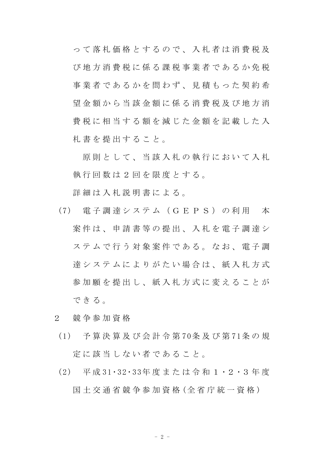っ て 落 札 価 格 と す る の で 、 入 札 者 は 消 費 税 及 び 地 方 消 費 税 に 係 る 課 税 事 業 者 で あ る か 免 税 事業者であるかを問わず、見積もった契約希 望 金 額 か ら 当 該 金 額 に 係 る 消 費 税 及 び 地 方 消 費 税 に 相 当 す る 額 を 減 じ た 金 額 を 記 載 し た 入 札 書 を 提 出 す る こ と 。

原則として、当該入札の執行において入札 執 行 回 数 は 2 回 を 限 度 と す る 。

詳細は入札説明書による。

- (7) 電 子 調 達 シ ス テ ム ( G E P S ) の 利 用 本 案 件 は 、 申 請 書 等 の 提 出 、 入 札 を 電 子 調 達 シ ステムで行う対象案件である。なお、電子調 達システムによりがたい場合は、紙入札方式 参加 願 を 提 出 し 、 紙 入 札 方 式 に 変 え る こ と が できる。
- 2 競 争 参 加 資 格
- (1) 予 算 決 算 及 び 会 計 令 第 70条 及 び 第 71条 の 規 定 に 該 当 し な い 者 で あ る こ と 。
- (2) 平 成 31・32・33年 度 ま た は 令 和 1 ・2 ・3 年 度 国十 交 诵 省 競 争 参 加 資 格 (全 省 庁 統 一 資 格)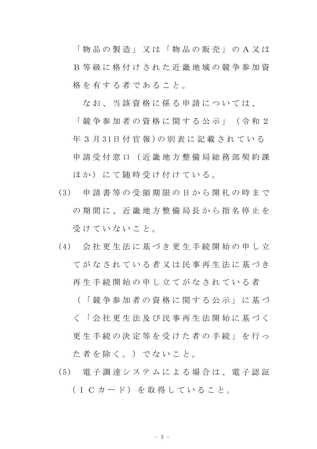「 物 品 の 製 造 」 又 は 「 物 品 の 販 売 」 の A 又 は B 等 級 に 格 付 け さ れ た 近 畿 地 域 の 競 争 参 加 資 格 を 有 す る 者 で あ る こ と 。

なお、当該資格に係る申請については、

「 競 争 参 加 者 の 資 格 に 関 す る 公 示 」 ( 令 和 2 年 3 月 31日 付 官 報 )の 別 表 に 記 載 さ れ て い る 申 請 受 付 窓 口 ( 近 畿 地 方 整 備 局 総 務 部 契 約 課 ほか)にて随時受け付けている。

- (3) 申 請 書 等 の 受 領 期 限 の 日 か ら 開 札 の 時 ま で の 期 間 に 、 近 畿 地 方 整 備 局 長 か ら 指 名 停 止 を 受けていないこと。
- (4) 会 社 更 生 法 に 基 づ き 更 生 手 続 開 始 の 申 し 立 てがなされている者又は民事再生法に基づき 再 生 手 続 開 始 の 申 し 立 て が な さ れ て い る 者
	- ( 「 競 争 参 加 者 の 資 格 に 関 す る 公 示 」 に 基 づ く 「 会 社 更 生 法 及 び 民 事 再 生 法 開 始 に 基 づ く 更 生 手 続 の 決 定 等 を 受 け た 者 の 手 続 」 を 行 っ た 者 を 除 く 。 ) で な い こ と 。
- (5) 電 子 調 達 シ ス テ ム に よ る 場 合 は 、 電 子 認 証 (ICカード) を取得していること。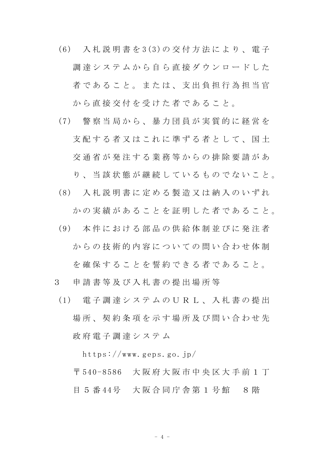- (6) 入 札 説 明 書 を 3(3)の 交 付 方 法 に よ り 、 電 子 調 達 シ ス テ ム か ら 自 ら 直 接 ダ ウ ン ロ ー ド し た 者であること。または、支出負担行為担当官 から直接交付を受けた者であること。
- (7) 警 察 当 局 か ら 、 暴 力 団 員 が 実 質 的 に 経 営 を 支 配 す る 者 又 は こ れ に 準 ず る 者 と し て 、 国 土 交 通 省 が 発 注 す る 業 務 等 か ら の 排 除 要 請 が あ
	- り 、 当 該 状 態 が 継 続 し て い る も の で な い こ と 。
- (8) 入 札 説 明 書 に 定 め る 製 造 又 は 納 入 の い ず れ かの実績があることを証明した者であること。
- (9) 本 件 に お け る 部 品 の 供 給 体 制 並 び に 発 注 者 からの技術的内容についての問い合わせ体制 を 確 保 す る こ と を 誓 約 で き る 者 で あ る こ と 。
- 3 申 請 書 等 及 び 入 札 書 の 提 出 場 所 等
	- (1) 電 子 調 達 シ ス テ ム の U R L 、 入 札 書 の 提 出 場 所 、 契 約 条 項 を 示 す 場 所 及 び 問 い 合 わ せ 先 政 府 電 子 調 達 シ ス テ ム

https://www.geps.go.jp/

〒 540-8586 大 阪 府 大 阪 市 中 央 区 大 手 前 1 丁 目 5 番 44号 大阪合同庁舎第 1 号館 8 階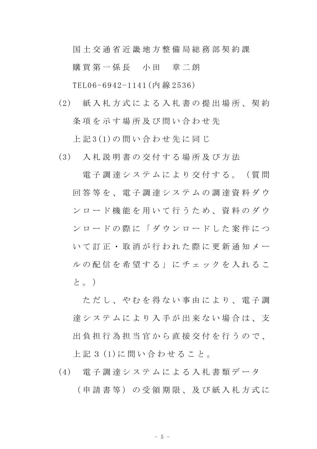国 土 交 通 省 近 畿 地 方 整 備 局 総 務 部 契 約 課

購 買 第 一 係 長 一 小 田 章 二 朗

TEL06-6942-1141(内 線 2536)

(2) 紙 入 札 方 式 に よ る 入 札 書 の 提 出 場 所 、 契 約 条項を示す場所及び問い合わせ先

上 記 3(1)の 問 い 合 わ せ 先 に 同 じ

(3) 入 札 説 明 書 の 交 付 す る 場 所 及 び 方 法

電子調達システムにより交付する。(質問 回 答 等 を 、 電 子 調 達 シ ス テ ム の 調 達 資 料 ダ ウ ン ロ ー ド 機 能 を 用 い て 行 う た め 、 資 料 の ダ ウ ンロードの際に「ダウンロードした案件につ い て 訂 正 ・ 取 消 が 行 わ れ た 際 に 更 新 通 知 メ ー ル の 配 信 を 希 望 す る 」 に チ ェ ッ ク を 入 れ る こ と。)

た だ し 、 や れ を 得 な い 事 由 に よ り 、 雷 子 調 達 シ ス テ ム に よ り 入 手 が 出 来 な い 場 合 は 、 支 出負担行為担当官から直接交付を行うので、 上 記 3 (1)に 問 い 合 わ せ る こ と 。

(4) 電 子 調 達 シ ス テ ム に よ る 入 札 書 類 デ ー タ ( 申 請 書 等 ) の 受 領 期 限 、 及 び 紙 入 札 方 式 に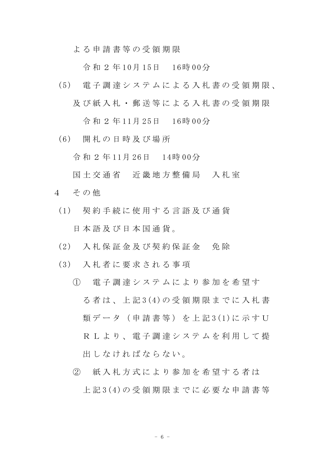よ る 申 請 書 等 の 受 領 期 限

令 和 2 年 10月 15日 16時 00分

- (5) 電 子 調 達 シ ス テ ム に よ る 入 札 書 の 受 領 期 限 、 及 び 紙 入 札 ・ 郵 送 等 に よ る 入 札 書 の 受 領 期 限 令 和 2 年 11月 25日 16時 00分
- (6) 開 札 の 日 時 及 び 場 所

令 和 2 年 11月 26日 14時 00分

- 国 土 交 通 省 近 畿 地 方 整 備 局 入 札 室
- 4 その他
	- (1) 契 約 手 続 に 使 用 す る 言 語 及 び 通 貨 日 本 語 及 び 日 本 国 通 貨 。
	- (2) 入 札 保 証 金 及 び 契 約 保 証 金 免 除
	- (3) 入 札 者 に 要 求 さ れ る 事 項
		- ① 電 子 調 達 シ ス テ ム に よ り 参 加 を 希 望 す る 者 は 、 上 記 3(4)の 受 領 期 限 ま で に 入 札 書 類 デ ー タ ( 申 請 書 等 ) を 上 記 3(1)に 示 す U R L よ り、 雷 子 調 達 シ ス テ ム を 利 用 し て 提 出 し な け れ ば な ら な い 。
		- ② 紙 入 札 方 式 に よ り 参 加 を 希 望 す る 者 は 上 記 3(4)の 受 領 期 限 ま で に 必 要 な 申 請 書 等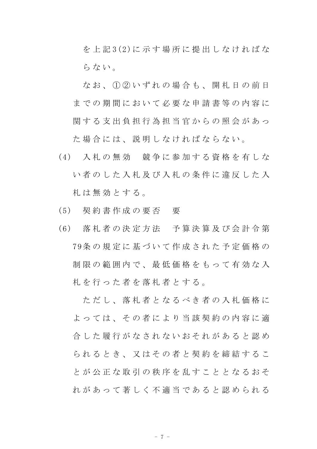を 上 記 3(2)に 示 す 場 所 に 提 出 し な け れ ば な らない。

なお、① ② いずれの場合も、開札日の前日 までの期間において必要な申請書等の内容に 関する支出負担行為担当官からの照会があっ た 場 合 に は 、 説 明 し な け れ ば な ら な い 。

- (4) 入 札 の 無 効 競 争 に 参 加 す る 資 格 を 有 し な い者のした入札及び入札の条件に違反した入 札 は 無 効 と す る 。
- (5) 契 約 書 作 成 の 要 否 要
- (6) 落 札 者 の 決 定 方 法 予 算 決 算 及 び 会 計 令 第 79条 の 規 定 に 基 づ い て 作 成 さ れ た 予 定 価 格 の 制 限 の 範 囲 内 で 、 最 低 価 格 を も っ て 有 効 な 入 札 を 行 っ た 者 を 落 札 者 と す る 。

た だ し 、 落 札 者 と な る べ き 者 の 入 札 価 格 に よっては、その者により当該契約の内容に適 合 し た 履 行 が な さ れ な い お そ れ が あ る と 認 め ら れ る と き 、 又 は そ の 者 と 契 約 を 締 結 す る こ と が 公 正 な 取 引 の 秩 序 を 乱 す こ と と な る お そ れ が あ っ て 著 し く 不 適 当 で あ る と 認 め ら れ る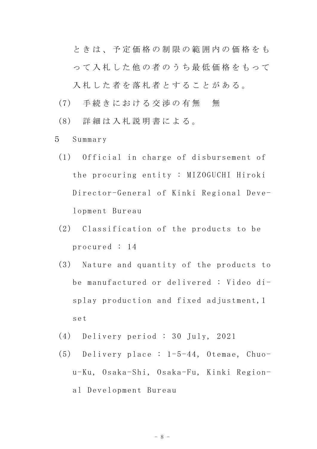ときは、予定価格の制限の範囲内の価格をも っ て 入 札 し た 他 の 者 の う ち 最 低 価 格 を も っ て

入札した者を落札者とすることがある。

- (7) 手続きにおける交渉の有無 無
- (8) 詳 細 は 入 札 説 明 書 に よ る 。
- 5 Summary
	- (1) Official in charge of disbursement of the procuring entity : MIZOGUCHI Hiroki Director-General of Kinki Regional Development Bureau
	- (2) Classification of the products to be procured : 14
	- (3) Nature and quantity of the products to be manufactured or delivered : Video display production and fixed adjustment,1 set
	- (4) Delivery period : 30 July, 2021
	- (5) Delivery place : 1-5-44, Otemae, Chuou-Ku, Osaka-Shi, Osaka-Fu, Kinki Regional Development Bureau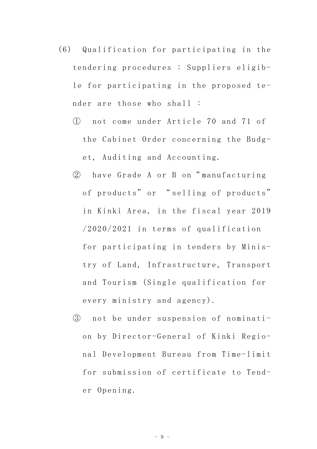- (6) Qualification for participating in the tendering procedures : Suppliers eligible for participating in the proposed tender are those who shall :
	- ① not come under Article 70 and 71 of the Cabinet Order concerning the Budget, Auditing and Accounting.
	- ② have Grade A or B on" manufacturing of products" or " selling of products" in Kinki Area, in the fiscal year 2019 /2020/2021 in terms of qualification for participating in tenders by Ministry of Land, Infrastructure, Transport and Tourism (Single qualification for every ministry and agency).
	- ③ not be under suspension of nomination by Director-General of Kinki Regional Development Bureau from Time-limit for submission of certificate to Tender Opening.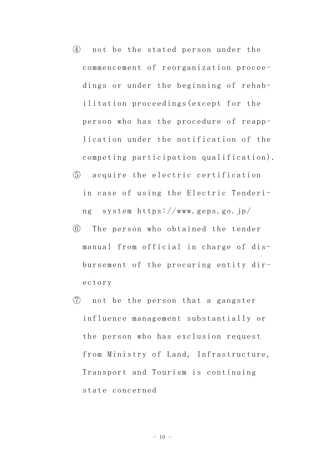- ④ not be the stated person under the commencement of reorganization proceedings or under the beginning of rehabilitation proceedings(except for the person who has the procedure of reapplication under the notification of the competing participation qualification).
- ⑤ acquire the electric certification in case of using the Electric Tendering system https://www.geps.go.jp/
- ⑥ The person who obtained the tender manual from official in charge of disbursement of the procuring entity directory
- ⑦ not be the person that a gangster influence management substantially or the person who has exclusion request from Ministry of Land, Infrastructure, Transport and Tourism is continuing state concerned

 $- 10 -$